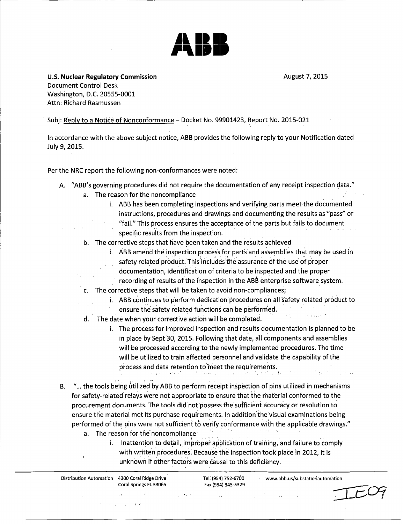

U.S. Nuclear Regulatory Commission **August 7, 2015 August 7, 2015** Document Control Desk Washington, D.C. 20555-0001 Attn: Richard Rasmussen

•Subj: Reply to a Notice of Nonconformance - Docket No. 99901423, Report No. 2015-021

In accordance with the above subject notice, ABB provides the following reply to your Notification dated July 9, 2015.

Per the NRC report the following non-conformances were noted:

- A. "ABB's governing procedures did not require the documentation of any receipt inspection data."
	- a. The reason for the noncompliance
		- i. ABB has been completing inspections and verifying parts meet-the documented instructions, procedures and drawings and documenting the results as "pass" or "fail." This process ensures the acceptance of the parts but fails to document specific results from the inspection.
	- b. The corrective steps that have been taken and the results achieved
		- i. ABB amend the inspection process for parts and assemblies that may be used in  $S$  - Abb amend the inspection process for parts and assemblies that may be use of  $\frac{1}{2}$
		- safety related product. This includes the assurance of the use of proper documentation, identification of criteria to be inspected and the proper
		- •recording of results of the ihspection in the ABB enterprise software system.
	- c. The corrective steps that will be taken to avoid non-compliances;
		- i. ABB continues to perform dedication procedures on all safety related product to ensure the safety related functions can be performed.
	- d. The date when your corrective action will be completed.
		- i. The process for improved inspection and results documentation is planned to be in place by Sept 30, 2015. Following that date, all components and assemblies will be processed according to the newly implemented procedures. The time will be utilized to train affected personnel and validate the capability of the process and data retention to meet the requirements.
- B. "... the tools being utilized by ABB to perform receipt inspection of pins utilized in mechanisms for safety-related relays were not appropriate to ensure that the material conformed to the procurement documents. The tools did not possess the sufficient accuracy or resolution to ensure the material met its purchase requirements. In addition the visual examinations being performed of the pins were not sufficient to verify conformance with the applicable drawings."
	- a. The reason for the noncompliance
		- i. Inattention to detail, improper application of training, and failure to comply with written procedures. Because the inspection took place in 2012, it is unknown if other factors were causal to this deficiency.

Distribution Automation 4300 Coral Ridge Drive Tel. (954) 752-6700 www.abb.us/substationautomation Coral springs FL 33D65 Fax (954) 345-5329 $\mathcal{A}^{\mathcal{A}}$  ,  $\mathcal{A}^{\mathcal{A}}$  ,  $\mathcal{A}^{\mathcal{A}}$  ,  $\mathcal{A}^{\mathcal{A}}$